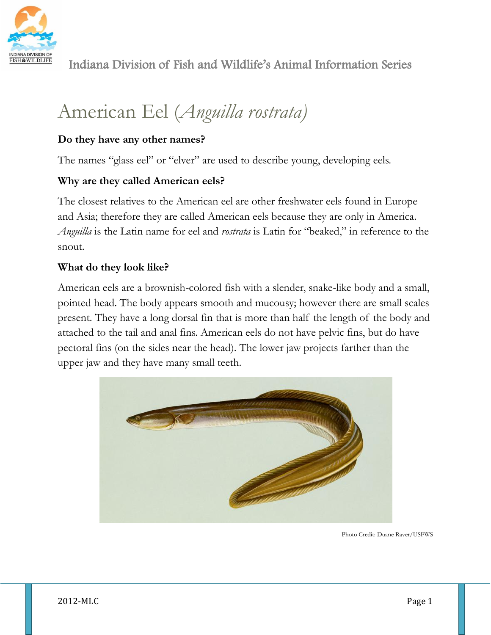

# American Eel (*Anguilla rostrata)*

## **Do they have any other names?**

The names "glass eel" or "elver" are used to describe young, developing eels.

# **Why are they called American eels?**

The closest relatives to the American eel are other freshwater eels found in Europe and Asia; therefore they are called American eels because they are only in America. *Anguilla* is the Latin name for eel and *rostrata* is Latin for "beaked," in reference to the snout.

# **What do they look like?**

American eels are a brownish-colored fish with a slender, snake-like body and a small, pointed head. The body appears smooth and mucousy; however there are small scales present. They have a long dorsal fin that is more than half the length of the body and attached to the tail and anal fins. American eels do not have pelvic fins, but do have pectoral fins (on the sides near the head). The lower jaw projects farther than the upper jaw and they have many small teeth.



Photo Credit: Duane Raver/USFWS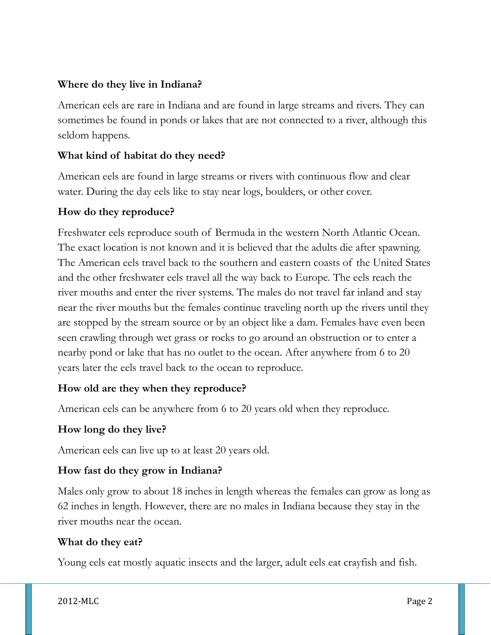## **Where do they live in Indiana?**

American eels are rare in Indiana and are found in large streams and rivers. They can sometimes be found in ponds or lakes that are not connected to a river, although this seldom happens.

## **What kind of habitat do they need?**

American eels are found in large streams or rivers with continuous flow and clear water. During the day eels like to stay near logs, boulders, or other cover.

## **How do they reproduce?**

Freshwater eels reproduce south of Bermuda in the western North Atlantic Ocean. The exact location is not known and it is believed that the adults die after spawning. The American eels travel back to the southern and eastern coasts of the United States and the other freshwater eels travel all the way back to Europe. The eels reach the river mouths and enter the river systems. The males do not travel far inland and stay near the river mouths but the females continue traveling north up the rivers until they are stopped by the stream source or by an object like a dam. Females have even been seen crawling through wet grass or rocks to go around an obstruction or to enter a nearby pond or lake that has no outlet to the ocean. After anywhere from 6 to 20 years later the eels travel back to the ocean to reproduce.

## **How old are they when they reproduce?**

American eels can be anywhere from 6 to 20 years old when they reproduce.

#### **How long do they live?**

American eels can live up to at least 20 years old.

## **How fast do they grow in Indiana?**

Males only grow to about 18 inches in length whereas the females can grow as long as 62 inches in length. However, there are no males in Indiana because they stay in the river mouths near the ocean.

#### **What do they eat?**

Young eels eat mostly aquatic insects and the larger, adult eels eat crayfish and fish.